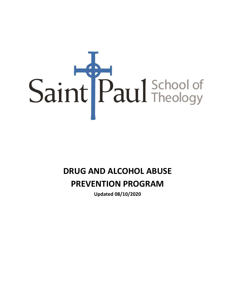

# **DRUG AND ALCOHOL ABUSE**

# **PREVENTION PROGRAM**

**Updated 08/10/2020**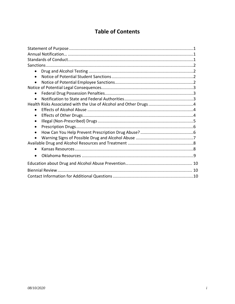# **Table of Contents**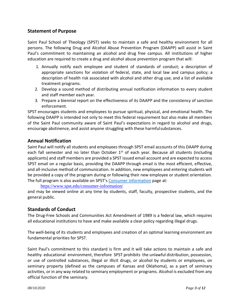# <span id="page-2-0"></span>**Statement of Purpose**

Saint Paul School of Theology (SPST) seeks to maintain a safe and healthy environment for all persons. The following Drug and Alcohol Abuse Prevention Program (DAAPP) will assist in Saint Paul's commitment to maintaining an alcohol and drug free campus. All institutions of higher education are required to create a drug and alcohol abuse prevention program that will:

- 1. Annually notify each employee and student of standards of conduct; a description of appropriate sanctions for violation of federal, state, and local law and campus policy; a description of health risk associated with alcohol and other drug use; and a list of available treatment programs.
- 2. Develop a sound method of distributing annual notification information to every student and staff member each year.
- 3. Prepare a biennial report on the effectiveness of its DAAPP and the consistency of sanction enforcement.

SPST encourages students and employees to pursue spiritual, physical, and emotional health. The following DAAPP is intended not only to meet this federal requirement but also make all members of the Saint Paul community aware of Saint Paul's expectations in regard to alcohol and drugs, encourage abstinence, and assist anyone struggling with these harmfulsubstances.

# <span id="page-2-1"></span>**Annual Notification**

Saint Paul will notify all students and employees through SPST email accounts of this DAAPP during each fall semester and no later than October  $1<sup>st</sup>$  of each year. Because all students (including applicants) and staff members are provided a SPST issued email account and are expected to access SPST email on a regular basis, providing the DAAPP through email is the most efficient, effective, and all-inclusive method of communication. In addition, new employees and entering students will be provided a copy of the program during or following their new employee or student orientation. The full program is also available on SPST's Consumer Information page at:

<https://www.spst.edu/consumer-information/>

and may be viewed online at any time by students, staff, faculty, prospective students, and the general public.

# <span id="page-2-2"></span>**Standards of Conduct**

The Drug-Free Schools and Communities Act Amendment of 1989 is a federal law, which requires all educational institutions to have and make available a clear policy regarding illegal drugs.

The well-being of its students and employees and creation of an optimal learning environment are fundamental priorities for SPST.

Saint Paul's commitment to this standard is firm and it will take actions to maintain a safe and healthy educational environment, therefore SPST prohibits the unlawful distribution, possession, or use of controlled substances, illegal or illicit drugs, or alcohol by students or employees, on seminary property (defined as the campuses of Kansas and Oklahoma), as a part of seminary activities, or in any way related to seminary employment or programs. Alcohol is excluded from any official function of the seminary.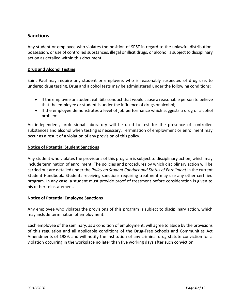# <span id="page-3-0"></span>**Sanctions**

Any student or employee who violates the position of SPST in regard to the unlawful distribution, possession, or use of controlled substances, illegal or illicit drugs, or alcohol is subject to disciplinary action as detailed within this document.

#### <span id="page-3-1"></span>**Drug and Alcohol Testing**

Saint Paul may require any student or employee, who is reasonably suspected of drug use, to undergo drug testing. Drug and alcohol tests may be administered under the following conditions:

- If the employee or student exhibits conduct that would cause a reasonable person to believe that the employee or student is under the influence of drugs or alcohol;
- If the employee demonstrates a level of job performance which suggests a drug or alcohol problem

An independent, professional laboratory will be used to test for the presence of controlled substances and alcohol when testing is necessary. Termination of employment or enrollment may occur as a result of a violation of any provision of this policy.

#### <span id="page-3-2"></span>**Notice of Potential Student Sanctions**

Any student who violates the provisions of this program is subject to disciplinary action, which may include termination of enrollment. The policies and procedures by which disciplinary action will be carried out are detailed under the *Policy on Student Conduct and Status of Enrollment* in the current Student Handbook. Students receiving sanctions requiring treatment may use any other certified program. In any case, a student must provide proof of treatment before consideration is given to his or her reinstatement.

#### <span id="page-3-3"></span>**Notice of Potential Employee Sanctions**

Any employee who violates the provisions of this program is subject to disciplinary action, which may include termination of employment.

Each employee of the seminary, as a condition of employment, will agree to abide by the provisions of this regulation and all applicable conditions of the Drug-Free Schools and Communities Act Amendments of 1989, and will notify the institution of any criminal drug statute conviction for a violation occurring in the workplace no later than five working days after such conviction.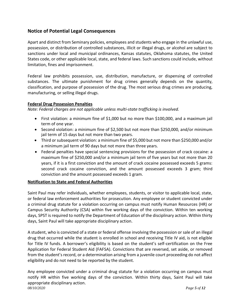# <span id="page-4-0"></span>**Notice of Potential Legal Consequences**

Apart and distinct from Seminary policies, employees and students who engage in the unlawful use, possession, or distribution of controlled substances, illicit or illegal drugs, or alcohol are subject to sanctions under local and municipal ordinances, Kansas statutes, Oklahoma statutes, the United States code, or other applicable local, state, and federal laws. Such sanctions could include, without limitation, fines and imprisonment.

Federal law prohibits possession, use, distribution, manufacture, or dispensing of controlled substances. The ultimate punishment for drug crimes generally depends on the quantity, classification, and purpose of possession of the drug. The most serious drug crimes are producing, manufacturing, or selling illegal drugs.

#### <span id="page-4-1"></span>**Federal Drug Possession Penalties**

*Note: Federal charges are not applicable unless multi-state trafficking is involved.*

- First violation: a minimum fine of \$1,000 but no more than \$100,000, and a maximum jail term of one year.
- Second violation: a minimum fine of \$2,500 but not more than \$250,000, and/or minimum jail term of 15 days but not more than two years.
- Third or subsequent violation: a minimum fine of \$5,000 but not more than \$250,000 and/or a minimum jail term of 90 days but not more than three years.
- Federal penalties have special sentencing provisions for the possession of crack cocaine: a maximum fine of \$250,000 and/or a minimum jail term of five years but not more than 20 years, if it is a first conviction and the amount of crack cocaine possessed exceeds 5 grams: second crack cocaine conviction, and the amount possessed exceeds 3 gram; third conviction and the amount possessed exceeds 1 gram.

#### <span id="page-4-2"></span>**Notification to State and Federal Authorities**

Saint Paul may refer individuals, whether employees, students, or visitor to applicable local, state, or federal law enforcement authorities for prosecution. Any employee or student convicted under a criminal drug statute for a violation occurring on campus must notify Human Resources (HR) or Campus Security Authority (CSA) within five working days of the conviction. Within ten working days, SPST is required to notify the Department of Education of the disciplinary action. Within thirty days, Saint Paul will take appropriate disciplinary action.

A student, who is convicted of a state or federal offense involving the possession or sale of an illegal drug that occurred while the student is enrolled in school and receiving Title IV aid, is not eligible for Title IV funds. A borrower's eligibility is based on the student's self-certification on the Free Application for Federal Student Aid (FAFSA). Convictions that are reversed, set aside, or removed from the student's record, or a determination arising from a juvenile court proceeding do not affect eligibility and do not need to be reported by the student.

*08/10/2020 Page 5 of 12* Any employee convicted under a criminal drug statute for a violation occurring on campus must notify HR within five working days of the conviction. Within thirty days, Saint Paul will take appropriate disciplinary action.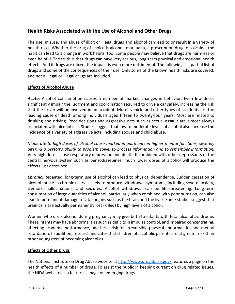# <span id="page-5-0"></span>**Health Risks Associated with the Use of Alcohol and Other Drugs**

The use, misuse, and abuse of illicit or illegal drugs and alcohol can lead to or result in a variety of health risks. Whether the drug of choice is alcohol, marijuana, a prescription drug, or cocaine, the habit can lead to a change in work habits, too. Some people may believe that drugs are harmless or even helpful. The truth is that drugs can have very serious, long-term physical and emotional health effects. And if drugs are mixed, the impact is even more detrimental. The following is a partial list of drugs and some of the consequences of their use. Only some of the known health risks are covered, and not all legal or illegal drugs are included.

#### <span id="page-5-1"></span>**Effects of Alcohol Abuse**

*Acute:* Alcohol consumption causes a number of marked changes in behavior. Even low doses significantly impair the judgment and coordination required to drive a car safely, increasing the risk that the driver will be involved in an accident. Motor vehicle and other types of accidents are the leading cause of death among individuals aged fifteen to twenty-four years. Most are related to drinking and driving. Poor decisions and aggressive acts such as sexual assault are almost always associated with alcohol use. Studies suggest that low to moderate levels of alcohol also increase the incidence of a variety of aggressive acts, including spouse and child abuse.

*Moderate to high doses of alcohol cause marked impairments in higher mental functions, severely altering a person's ability to problem solve, to process information and to remember information.*  Very high doses cause respiratory depression and death. If combined with other depressants of the central nervous system such as benzodiazepines, much lower doses of alcohol will produce the effects just described.

*Chronic:* Repeated, long-term use of alcohol can lead to physical dependence. Sudden cessation of alcohol intake in chronic users is likely to produce withdrawal symptoms, including severe anxiety, tremors, hallucinations, and seizures. Alcohol withdrawal can be life-threatening. Long-term consumption of large quantities of alcohol, particularly when combined with poor nutrition, can also lead to permanent damage to vital organs such as the brain and the liver. Some studies suggest that brain cells are actually permanently lost (killed) by high levels of alcohol.

Women who drink alcohol during pregnancy may give birth to infants with fetal alcohol syndrome. These infants may have abnormalities such as deficits in impulse control, and impaired concentrating, affecting academic performance, and be at risk for irreversible physical abnormalities and mental retardation. In addition, research indicates that children of alcoholic parents are at greater risk than other youngsters of becoming alcoholics.

#### <span id="page-5-2"></span>**Effects of Other Drugs**

The National Institute on Drug Abuse website at [http://www.drugabuse.gov/ f](http://www.drugabuse.gov/)eatures a page on the health effects of a number of drugs. To assist the public in keeping current on drug related issues, the NIDA website also features a page on emerging drugs.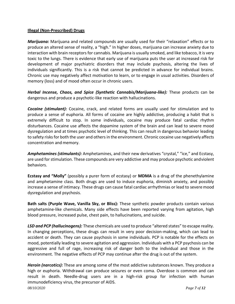#### <span id="page-6-0"></span>**Illegal (Non-Prescribed) Drugs**

*Marijuana:* Marijuana and related compounds are usually used for their "relaxation" effects or to produce an altered sense of reality, a "high." In higher doses, marijuana can increase anxiety due to interaction with brain receptors for cannabis. Marijuana is usually smoked, and like tobacco, it is very toxic to the lungs. There is evidence that early use of marijuana puts the user at increased risk for development of major psychiatric disorders that may include psychosis, altering the lives of individuals significantly. This is a risk that cannot be predicted in advance for individual brains. Chronic use may negatively affect motivation to learn, or to engage in usual activities. Disorders of memory (loss) and of mood often occur in chronic users.

**Herbal Incense, Chaos, and Spice (Synthetic Cannabis/Marijuana-like):** These products can be dangerous and produce a psychotic-like reaction with hallucinations.

*Cocaine (stimulant):* Cocaine, crack, and related forms are usually used for stimulation and to produce a sense of euphoria. All forms of cocaine are highly addictive, producing a habit that is extremely difficult to stop. In some individuals, cocaine may produce fatal cardiac rhythm disturbances. Cocaine use affects the dopamine system of the brain and can lead to severe mood dysregulation and at times psychotic level of thinking. This can result in dangerous behavior leading to safety risks for both the user and others in the environment. Chronic cocaine use negatively affects concentration and memory.

*Amphetamines (stimulants):* Amphetamines, and their new derivatives "crystal," "ice," and Ecstasy, are used for stimulation. These compounds are very addictive and may produce psychotic andviolent behaviors.

**Ecstasy and "Molly"** (possibly a purer form of ecstasy) or **MDMA** is a drug of the phenethylamine and amphetamine class. Both drugs are used to induce euphoria, diminish anxiety, and possibly increase a sense of intimacy. These drugs can cause fatal cardiac arrhythmias or lead to severe mood dysregulation and psychosis.

**Bath salts (Purple Wave, Vanilla Sky, or Bliss):** These synthetic powder products contain various amphetamine-like chemicals. Many side effects have been reported varying from agitation, high blood pressure, increased pulse, chest pain, to hallucinations, and suicide.

*LSD and PCP (hallucinogens):* These chemicals are used to produce "altered states" to escape reality. In changing perceptions, these drugs can result in very poor decision-making, which can lead to accident or death. They can cause psychosis in some individuals. PCP is notable for the effects on mood, potentially leading to severe agitation and aggression. Individuals with a PCP psychosis can be aggressive and full of rage, increasing risk of danger both to the individual and those in the environment. The negative effects of PCP may continue after the drug is out of the system.

*08/10/2020 Page 7 of 12 Heroin (narcotics):* These are among some of the most addictive substances known. They produce a high or euphoria. Withdrawal can produce seizures or even coma. Overdose is common and can result in death. Needle-drug users are in a high-risk group for infection with human immunodeficiency virus, the precursor of AIDS.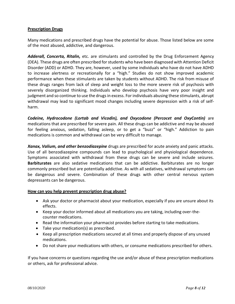#### <span id="page-7-0"></span>**Prescription Drugs**

Many medications and prescribed drugs have the potential for abuse. Those listed below are some of the most abused, addictive, and dangerous.

*Adderall, Concerta, Ritalin,* etc. are stimulants and controlled by the Drug Enforcement Agency (DEA). These drugs are often prescribed for students who have been diagnosed with Attention Deficit Disorder (ADD) or ADHD. They are, however, used by some individuals who have do not have ADHD to increase alertness or recreationally for a "high." Studies do not show improved academic performance when these stimulants are taken by students without ADHD. The risk from misuse of these drugs ranges from lack of sleep and weight loss to the more severe risk of psychosis with severely disorganized thinking. Individuals who develop psychosis have very poor insight and judgment and so continue to use the drugs in excess. For individuals abusing these stimulants, abrupt withdrawal may lead to significant mood changes including severe depression with a risk of selfharm.

*Codeine, Hydrocodone (Lortab and Vicodin), and Oxycodone (Percocet and OxyContin)* are medications that are prescribed for severe pain. All these drugs can be addictive and may be abused for feeling anxious, sedation, falling asleep, or to get a "buzz" or "high." Addiction to pain medications is common and withdrawal can be very difficult to manage.

*Xanax, Valium, and other benzodiazepine* drugs are prescribed for acute anxiety and panic attacks. Use of all benzodiazepine compounds can lead to psychological and physiological dependence. Symptoms associated with withdrawal from these drugs can be severe and include seizures. **Barbiturates** are also sedative medications that can be addictive. Barbiturates are no longer commonly prescribed but are potentially addictive. As with all sedatives, withdrawal symptoms can be dangerous and severe. Combination of these drugs with other central nervous system depressants can be dangerous.

#### <span id="page-7-1"></span>**How can you help prevent prescription drug abuse?**

- Ask your doctor or pharmacist about your medication, especially if you are unsure about its effects.
- Keep your doctor informed about all medications you are taking, including over-thecounter medications.
- Read the information your pharmacist provides before starting to take medications.
- Take your medication(s) as prescribed.
- Keep all prescription medications secured at all times and properly dispose of any unused medications.
- Do not share your medications with others, or consume medications prescribed for others.

If you have concerns or questions regarding the use and/or abuse of these prescription medications or others, ask for professional advice.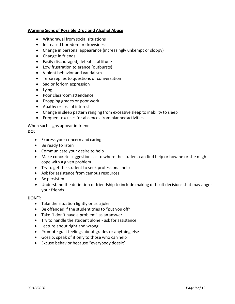#### <span id="page-8-0"></span>**Warning Signs of Possible Drug and Alcohol Abuse**

- Withdrawal from social situations
- Increased boredom or drowsiness
- Change in personal appearance (increasingly unkempt or sloppy)
- Change in friends
- Easily discouraged; defeatist attitude
- Low frustration tolerance (outbursts)
- Violent behavior and vandalism
- Terse replies to questions or conversation
- Sad or forlorn expression
- Lying
- Poor classroomattendance
- Dropping grades or poor work
- Apathy or loss of interest
- Change in sleep pattern ranging from excessive sleep to inability to sleep
- Frequent excuses for absences from plannedactivities

When such signs appear in friends…

#### **DO:**

- Express your concern and caring
- Be ready to listen
- Communicate your desire to help
- Make concrete suggestions as to where the student can find help or how he or she might cope with a given problem
- Try to get the student to seek professional help
- Ask for assistance from campus resources
- Be persistent
- Understand the definition of friendship to include making difficult decisions that may anger your friends

#### **DON'T:**

- Take the situation lightly or as a joke
- Be offended if the student tries to "put you off"
- Take "I don't have a problem" as ananswer
- Try to handle the student alone ask for assistance
- Lecture about right and wrong
- Promote guilt feelings about grades or anything else
- Gossip: speak of it only to those who can help
- Excuse behavior because "everybody doesit"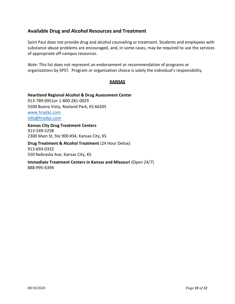# <span id="page-9-0"></span>**Available Drug and Alcohol Resources and Treatment**

Saint Paul does not provide drug and alcohol counseling or treatment. Students and employees with substance abuse problems are encouraged, and, in some cases, may be required to use the services of appropriate off-campus resources.

*Note:* This list does not represent an endorsement or recommendation of programs or organizations by SPST. Program or organization choice is solely the individual's responsibility.

#### **KANSAS**

**Heartland Regional Alcohol & Drug Assessment Center** 913-789-0951or 1-800-281-0029 5500 Buena Vista, Roeland Park, KS 66205 [www.hradac.com](http://www.hradac.com/) [info@hradac.com](mailto:info@hradac.com)

**Kansas City Drug Treatment Centers** 913-549-5258 2300 Main St, Ste 900 #34, Kansas City, KS

**Drug Treatment & Alcohol Treatment** (24 Hour Detox) 913-693-0332 550 Nebraska Ave, Kansas City, KS

**Immediate Treatment Centers in Kansas and Missouri** (Open 24/7) 888-995-6394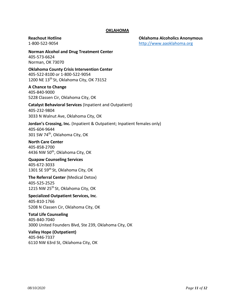#### **OKLAHOMA**

**Reachout Hotline Oklahoma Alcoholics Anonymous** 1-800-522-9054 [http://www.aaoklahoma.org](http://www.aaoklahoma.org/)

**Norman Alcohol and Drug Treatment Center** [405-573-6624](http://www.aaoklahoma.org/) Norman, OK 73070

**Oklahoma County Crisis Intervention Center** 405-522-8100 or 1-800-522-9054 1200 NE 13<sup>th</sup> St, Oklahoma City, OK 73152

#### **A Chance to Change**

405-840-9000 5228 Classen Cir, Oklahoma City, OK

#### **Catalyst Behavioral Services** (Inpatient and Outpatient)

405-232-9804 3033 N Walnut Ave, Oklahoma City, OK

#### **Jordan's Crossing, Inc.** (Inpatient & Outpatient; Inpatient females only) 405-604-9644 301 SW 74<sup>th</sup>, Oklahoma City, OK

**North Care Center** 405-858-2700

4436 NW 50<sup>th</sup>, Oklahoma City, OK

# **Quapaw Counseling Services**

405-672-3033 1301 SE 59<sup>th</sup> St, Oklahoma City, OK

#### **The Referral Center** (Medical Detox) 405-525-2525

1215 NW 25<sup>th</sup> St, Oklahoma City, OK

#### **Specialized Outpatient Services, Inc**. 405-810-1766

5208 N Classen Cir, Oklahoma City, OK

#### **Total Life Counseling** 405-840-7040 3000 United Founders Blvd, Ste 239, Oklahoma City, OK

#### **Valley Hope (Outpatient)** 405-946-7337 6110 NW 63rd St, Oklahoma City, OK